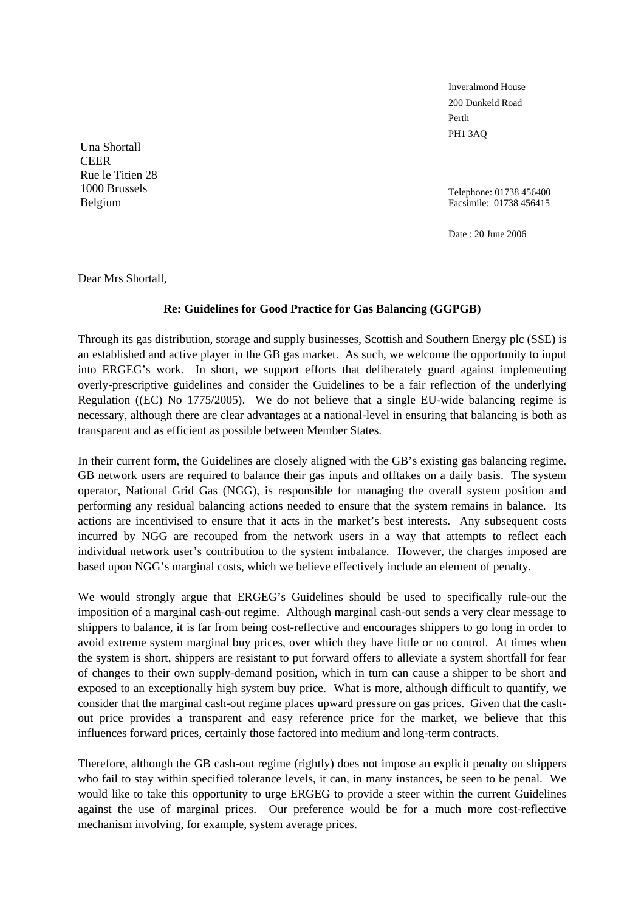Inveralmond House 200 Dunkeld Road Perth PH1 3AQ

Telephone: 01738 456400 Facsimile: 01738 456415

Date : 20 June 2006

Una Shortall **CEER** Rue le Titien 28 1000 Brussels Belgium

Dear Mrs Shortall,

## **Re: Guidelines for Good Practice for Gas Balancing (GGPGB)**

Through its gas distribution, storage and supply businesses, Scottish and Southern Energy plc (SSE) is an established and active player in the GB gas market. As such, we welcome the opportunity to input into ERGEG's work. In short, we support efforts that deliberately guard against implementing overly-prescriptive guidelines and consider the Guidelines to be a fair reflection of the underlying Regulation ((EC) No 1775/2005). We do not believe that a single EU-wide balancing regime is necessary, although there are clear advantages at a national-level in ensuring that balancing is both as transparent and as efficient as possible between Member States.

In their current form, the Guidelines are closely aligned with the GB's existing gas balancing regime. GB network users are required to balance their gas inputs and offtakes on a daily basis. The system operator, National Grid Gas (NGG), is responsible for managing the overall system position and performing any residual balancing actions needed to ensure that the system remains in balance. Its actions are incentivised to ensure that it acts in the market's best interests. Any subsequent costs incurred by NGG are recouped from the network users in a way that attempts to reflect each individual network user's contribution to the system imbalance. However, the charges imposed are based upon NGG's marginal costs, which we believe effectively include an element of penalty.

We would strongly argue that ERGEG's Guidelines should be used to specifically rule-out the imposition of a marginal cash-out regime. Although marginal cash-out sends a very clear message to shippers to balance, it is far from being cost-reflective and encourages shippers to go long in order to avoid extreme system marginal buy prices, over which they have little or no control. At times when the system is short, shippers are resistant to put forward offers to alleviate a system shortfall for fear of changes to their own supply-demand position, which in turn can cause a shipper to be short and exposed to an exceptionally high system buy price. What is more, although difficult to quantify, we consider that the marginal cash-out regime places upward pressure on gas prices. Given that the cashout price provides a transparent and easy reference price for the market, we believe that this influences forward prices, certainly those factored into medium and long-term contracts.

Therefore, although the GB cash-out regime (rightly) does not impose an explicit penalty on shippers who fail to stay within specified tolerance levels, it can, in many instances, be seen to be penal. We would like to take this opportunity to urge ERGEG to provide a steer within the current Guidelines against the use of marginal prices. Our preference would be for a much more cost-reflective mechanism involving, for example, system average prices.